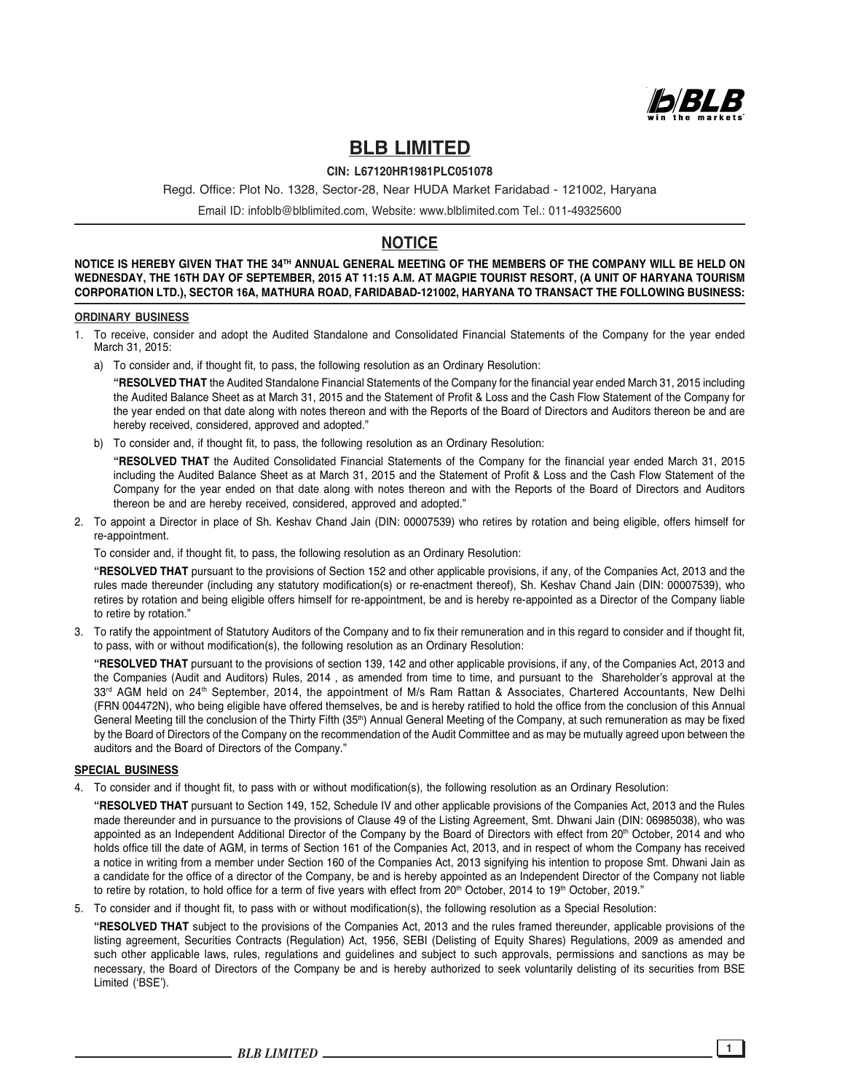

# **BLB LIMITED**

## **CIN: L67120HR1981PLC051078**

Regd. Office: Plot No. 1328, Sector-28, Near HUDA Market Faridabad - 121002, Haryana

Email ID: infoblb@blblimited.com, Website: www.blblimited.com Tel.: 011-49325600

## **NOTICE**

**NOTICE IS HEREBY GIVEN THAT THE 34TH ANNUAL GENERAL MEETING OF THE MEMBERS OF THE COMPANY WILL BE HELD ON WEDNESDAY, THE 16TH DAY OF SEPTEMBER, 2015 AT 11:15 A.M. AT MAGPIE TOURIST RESORT, (A UNIT OF HARYANA TOURISM CORPORATION LTD.), SECTOR 16A, MATHURA ROAD, FARIDABAD-121002, HARYANA TO TRANSACT THE FOLLOWING BUSINESS:**

### **ORDINARY BUSINESS**

- 1. To receive, consider and adopt the Audited Standalone and Consolidated Financial Statements of the Company for the year ended March 31, 2015:
	- a) To consider and, if thought fit, to pass, the following resolution as an Ordinary Resolution:

**"RESOLVED THAT** the Audited Standalone Financial Statements of the Company for the financial year ended March 31, 2015 including the Audited Balance Sheet as at March 31, 2015 and the Statement of Profit & Loss and the Cash Flow Statement of the Company for the year ended on that date along with notes thereon and with the Reports of the Board of Directors and Auditors thereon be and are hereby received, considered, approved and adopted."

b) To consider and, if thought fit, to pass, the following resolution as an Ordinary Resolution:

**"RESOLVED THAT** the Audited Consolidated Financial Statements of the Company for the financial year ended March 31, 2015 including the Audited Balance Sheet as at March 31, 2015 and the Statement of Profit & Loss and the Cash Flow Statement of the Company for the year ended on that date along with notes thereon and with the Reports of the Board of Directors and Auditors thereon be and are hereby received, considered, approved and adopted."

2. To appoint a Director in place of Sh. Keshav Chand Jain (DIN: 00007539) who retires by rotation and being eligible, offers himself for re-appointment.

To consider and, if thought fit, to pass, the following resolution as an Ordinary Resolution:

**"RESOLVED THAT** pursuant to the provisions of Section 152 and other applicable provisions, if any, of the Companies Act, 2013 and the rules made thereunder (including any statutory modification(s) or re-enactment thereof), Sh. Keshav Chand Jain (DIN: 00007539), who retires by rotation and being eligible offers himself for re-appointment, be and is hereby re-appointed as a Director of the Company liable to retire by rotation."

3. To ratify the appointment of Statutory Auditors of the Company and to fix their remuneration and in this regard to consider and if thought fit, to pass, with or without modification(s), the following resolution as an Ordinary Resolution:

**"RESOLVED THAT** pursuant to the provisions of section 139, 142 and other applicable provisions, if any, of the Companies Act, 2013 and the Companies (Audit and Auditors) Rules, 2014 , as amended from time to time, and pursuant to the Shareholder's approval at the 33<sup>rd</sup> AGM held on 24<sup>th</sup> September, 2014, the appointment of M/s Ram Rattan & Associates, Chartered Accountants, New Delhi (FRN 004472N), who being eligible have offered themselves, be and is hereby ratified to hold the office from the conclusion of this Annual General Meeting till the conclusion of the Thirty Fifth (35<sup>th</sup>) Annual General Meeting of the Company, at such remuneration as may be fixed by the Board of Directors of the Company on the recommendation of the Audit Committee and as may be mutually agreed upon between the auditors and the Board of Directors of the Company."

#### **SPECIAL BUSINESS**

4. To consider and if thought fit, to pass with or without modification(s), the following resolution as an Ordinary Resolution:

**"RESOLVED THAT** pursuant to Section 149, 152, Schedule IV and other applicable provisions of the Companies Act, 2013 and the Rules made thereunder and in pursuance to the provisions of Clause 49 of the Listing Agreement, Smt. Dhwani Jain (DIN: 06985038), who was appointed as an Independent Additional Director of the Company by the Board of Directors with effect from 20<sup>th</sup> October, 2014 and who holds office till the date of AGM, in terms of Section 161 of the Companies Act, 2013, and in respect of whom the Company has received a notice in writing from a member under Section 160 of the Companies Act, 2013 signifying his intention to propose Smt. Dhwani Jain as a candidate for the office of a director of the Company, be and is hereby appointed as an Independent Director of the Company not liable to retire by rotation, to hold office for a term of five years with effect from 20<sup>th</sup> October, 2014 to 19<sup>th</sup> October, 2019."

5. To consider and if thought fit, to pass with or without modification(s), the following resolution as a Special Resolution:

**"RESOLVED THAT** subject to the provisions of the Companies Act, 2013 and the rules framed thereunder, applicable provisions of the listing agreement, Securities Contracts (Regulation) Act, 1956, SEBI (Delisting of Equity Shares) Regulations, 2009 as amended and such other applicable laws, rules, regulations and guidelines and subject to such approvals, permissions and sanctions as may be necessary, the Board of Directors of the Company be and is hereby authorized to seek voluntarily delisting of its securities from BSE Limited ('BSE').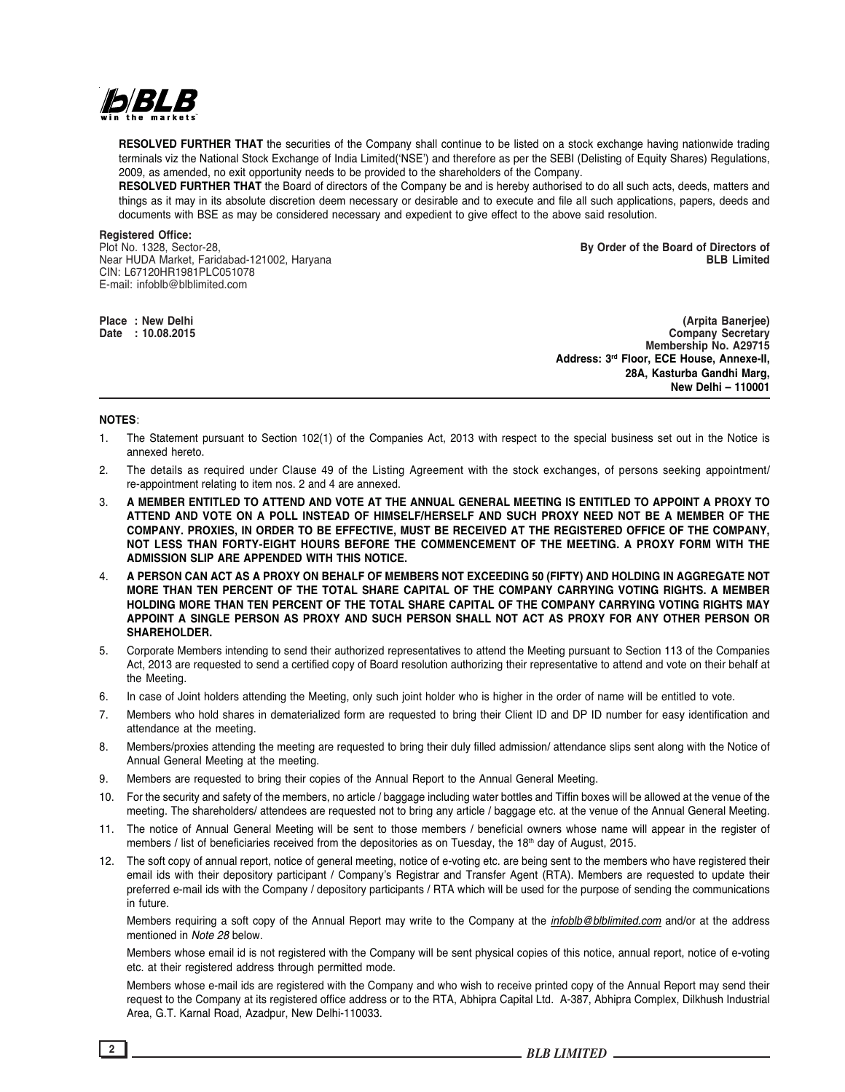

**RESOLVED FURTHER THAT** the securities of the Company shall continue to be listed on a stock exchange having nationwide trading terminals viz the National Stock Exchange of India Limited('NSE') and therefore as per the SEBI (Delisting of Equity Shares) Regulations, 2009, as amended, no exit opportunity needs to be provided to the shareholders of the Company.

**RESOLVED FURTHER THAT** the Board of directors of the Company be and is hereby authorised to do all such acts, deeds, matters and things as it may in its absolute discretion deem necessary or desirable and to execute and file all such applications, papers, deeds and documents with BSE as may be considered necessary and expedient to give effect to the above said resolution.

**Registered Office:** Near HUDA Market, Faridabad-121002, Haryana CIN: L67120HR1981PLC051078 E-mail: infoblb@blblimited.com

Plot No. 1328, Sector-28, **By Order of the Board of Directors of**

**Place : New Delhi (Arpita Banerjee) Company Secretary Membership No. A29715 Address: 3rd Floor, ECE House, Annexe-II, 28A, Kasturba Gandhi Marg, New Delhi – 110001**

#### **NOTES**:

- 1. The Statement pursuant to Section 102(1) of the Companies Act, 2013 with respect to the special business set out in the Notice is annexed hereto.
- 2. The details as required under Clause 49 of the Listing Agreement with the stock exchanges, of persons seeking appointment/ re-appointment relating to item nos. 2 and 4 are annexed.
- 3. **A MEMBER ENTITLED TO ATTEND AND VOTE AT THE ANNUAL GENERAL MEETING IS ENTITLED TO APPOINT A PROXY TO ATTEND AND VOTE ON A POLL INSTEAD OF HIMSELF/HERSELF AND SUCH PROXY NEED NOT BE A MEMBER OF THE COMPANY. PROXIES, IN ORDER TO BE EFFECTIVE, MUST BE RECEIVED AT THE REGISTERED OFFICE OF THE COMPANY, NOT LESS THAN FORTY-EIGHT HOURS BEFORE THE COMMENCEMENT OF THE MEETING. A PROXY FORM WITH THE ADMISSION SLIP ARE APPENDED WITH THIS NOTICE.**
- 4. **A PERSON CAN ACT AS A PROXY ON BEHALF OF MEMBERS NOT EXCEEDING 50 (FIFTY) AND HOLDING IN AGGREGATE NOT MORE THAN TEN PERCENT OF THE TOTAL SHARE CAPITAL OF THE COMPANY CARRYING VOTING RIGHTS. A MEMBER HOLDING MORE THAN TEN PERCENT OF THE TOTAL SHARE CAPITAL OF THE COMPANY CARRYING VOTING RIGHTS MAY APPOINT A SINGLE PERSON AS PROXY AND SUCH PERSON SHALL NOT ACT AS PROXY FOR ANY OTHER PERSON OR SHAREHOLDER.**
- 5. Corporate Members intending to send their authorized representatives to attend the Meeting pursuant to Section 113 of the Companies Act, 2013 are requested to send a certified copy of Board resolution authorizing their representative to attend and vote on their behalf at the Meeting.
- 6. In case of Joint holders attending the Meeting, only such joint holder who is higher in the order of name will be entitled to vote.
- 7. Members who hold shares in dematerialized form are requested to bring their Client ID and DP ID number for easy identification and attendance at the meeting.
- 8. Members/proxies attending the meeting are requested to bring their duly filled admission/ attendance slips sent along with the Notice of Annual General Meeting at the meeting.
- 9. Members are requested to bring their copies of the Annual Report to the Annual General Meeting.
- 10. For the security and safety of the members, no article / baggage including water bottles and Tiffin boxes will be allowed at the venue of the meeting. The shareholders/ attendees are requested not to bring any article / baggage etc. at the venue of the Annual General Meeting.
- 11. The notice of Annual General Meeting will be sent to those members / beneficial owners whose name will appear in the register of members / list of beneficiaries received from the depositories as on Tuesday, the 18<sup>th</sup> day of August, 2015.
- 12. The soft copy of annual report, notice of general meeting, notice of e-voting etc. are being sent to the members who have registered their email ids with their depository participant / Company's Registrar and Transfer Agent (RTA). Members are requested to update their preferred e-mail ids with the Company / depository participants / RTA which will be used for the purpose of sending the communications in future.

Members requiring a soft copy of the Annual Report may write to the Company at the *infoblb@blblimited.com* and/or at the address mentioned in *Note 28* below.

Members whose email id is not registered with the Company will be sent physical copies of this notice, annual report, notice of e-voting etc. at their registered address through permitted mode.

Members whose e-mail ids are registered with the Company and who wish to receive printed copy of the Annual Report may send their request to the Company at its registered office address or to the RTA, Abhipra Capital Ltd. A-387, Abhipra Complex, Dilkhush Industrial Area, G.T. Karnal Road, Azadpur, New Delhi-110033.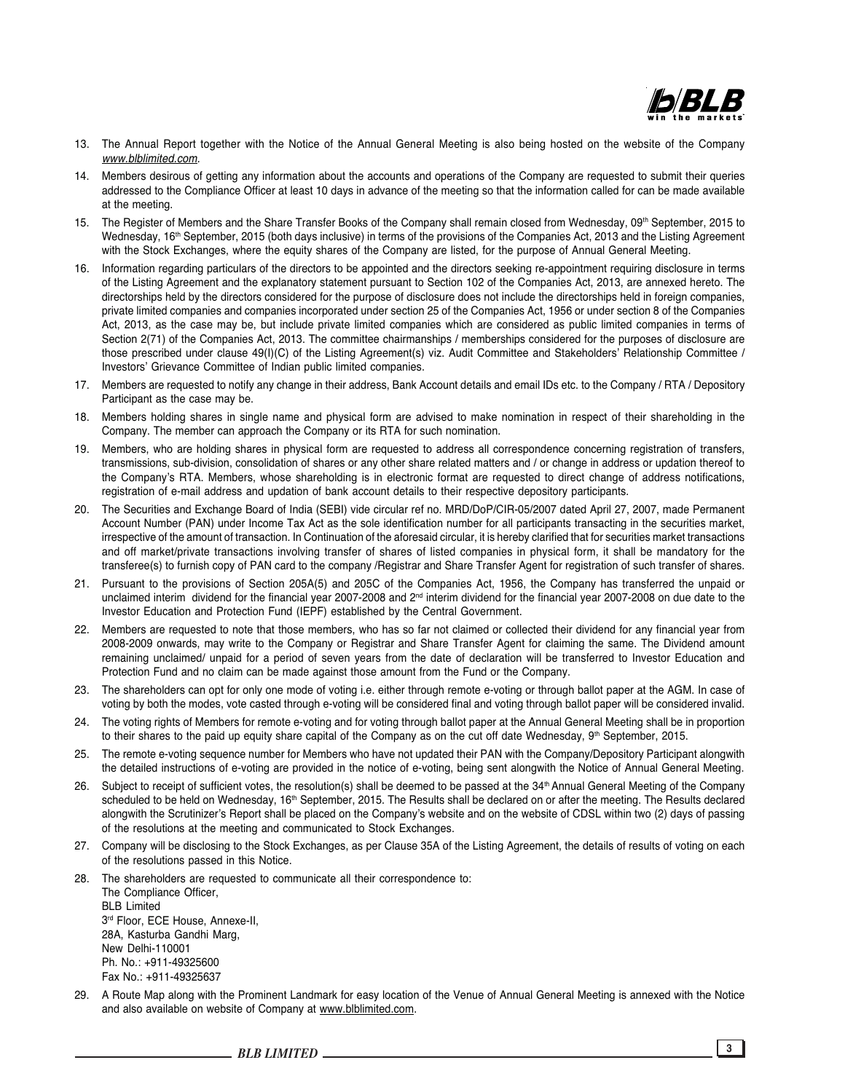

- 13. The Annual Report together with the Notice of the Annual General Meeting is also being hosted on the website of the Company *www.blblimited.com.*
- 14. Members desirous of getting any information about the accounts and operations of the Company are requested to submit their queries addressed to the Compliance Officer at least 10 days in advance of the meeting so that the information called for can be made available at the meeting.
- 15. The Register of Members and the Share Transfer Books of the Company shall remain closed from Wednesday, 09<sup>th</sup> September, 2015 to Wednesday, 16<sup>th</sup> September, 2015 (both days inclusive) in terms of the provisions of the Companies Act, 2013 and the Listing Agreement with the Stock Exchanges, where the equity shares of the Company are listed, for the purpose of Annual General Meeting.
- 16. Information regarding particulars of the directors to be appointed and the directors seeking re-appointment requiring disclosure in terms of the Listing Agreement and the explanatory statement pursuant to Section 102 of the Companies Act, 2013, are annexed hereto. The directorships held by the directors considered for the purpose of disclosure does not include the directorships held in foreign companies, private limited companies and companies incorporated under section 25 of the Companies Act, 1956 or under section 8 of the Companies Act, 2013, as the case may be, but include private limited companies which are considered as public limited companies in terms of Section 2(71) of the Companies Act, 2013. The committee chairmanships / memberships considered for the purposes of disclosure are those prescribed under clause 49(I)(C) of the Listing Agreement(s) viz. Audit Committee and Stakeholders' Relationship Committee / Investors' Grievance Committee of Indian public limited companies.
- 17. Members are requested to notify any change in their address, Bank Account details and email IDs etc. to the Company / RTA / Depository Participant as the case may be.
- 18. Members holding shares in single name and physical form are advised to make nomination in respect of their shareholding in the Company. The member can approach the Company or its RTA for such nomination.
- 19. Members, who are holding shares in physical form are requested to address all correspondence concerning registration of transfers, transmissions, sub-division, consolidation of shares or any other share related matters and / or change in address or updation thereof to the Company's RTA. Members, whose shareholding is in electronic format are requested to direct change of address notifications, registration of e-mail address and updation of bank account details to their respective depository participants.
- 20. The Securities and Exchange Board of India (SEBI) vide circular ref no. MRD/DoP/CIR-05/2007 dated April 27, 2007, made Permanent Account Number (PAN) under Income Tax Act as the sole identification number for all participants transacting in the securities market, irrespective of the amount of transaction. In Continuation of the aforesaid circular, it is hereby clarified that for securities market transactions and off market/private transactions involving transfer of shares of listed companies in physical form, it shall be mandatory for the transferee(s) to furnish copy of PAN card to the company /Registrar and Share Transfer Agent for registration of such transfer of shares.
- 21. Pursuant to the provisions of Section 205A(5) and 205C of the Companies Act, 1956, the Company has transferred the unpaid or unclaimed interim dividend for the financial year 2007-2008 and 2<sup>nd</sup> interim dividend for the financial year 2007-2008 on due date to the Investor Education and Protection Fund (IEPF) established by the Central Government.
- 22. Members are requested to note that those members, who has so far not claimed or collected their dividend for any financial year from 2008-2009 onwards, may write to the Company or Registrar and Share Transfer Agent for claiming the same. The Dividend amount remaining unclaimed/ unpaid for a period of seven years from the date of declaration will be transferred to Investor Education and Protection Fund and no claim can be made against those amount from the Fund or the Company.
- 23. The shareholders can opt for only one mode of voting i.e. either through remote e-voting or through ballot paper at the AGM. In case of voting by both the modes, vote casted through e-voting will be considered final and voting through ballot paper will be considered invalid.
- 24. The voting rights of Members for remote e-voting and for voting through ballot paper at the Annual General Meeting shall be in proportion to their shares to the paid up equity share capital of the Company as on the cut off date Wednesday, 9th September, 2015.
- 25. The remote e-voting sequence number for Members who have not updated their PAN with the Company/Depository Participant alongwith the detailed instructions of e-voting are provided in the notice of e-voting, being sent alongwith the Notice of Annual General Meeting.
- 26. Subject to receipt of sufficient votes, the resolution(s) shall be deemed to be passed at the 34<sup>th</sup> Annual General Meeting of the Company scheduled to be held on Wednesday, 16<sup>th</sup> September, 2015. The Results shall be declared on or after the meeting. The Results declared alongwith the Scrutinizer's Report shall be placed on the Company's website and on the website of CDSL within two (2) days of passing of the resolutions at the meeting and communicated to Stock Exchanges.
- 27. Company will be disclosing to the Stock Exchanges, as per Clause 35A of the Listing Agreement, the details of results of voting on each of the resolutions passed in this Notice.
- 28. The shareholders are requested to communicate all their correspondence to: The Compliance Officer,

BLB Limited 3rd Floor, ECE House, Annexe-II, 28A, Kasturba Gandhi Marg, New Delhi-110001 Ph. No.: +911-49325600 Fax No.: +911-49325637

29. A Route Map along with the Prominent Landmark for easy location of the Venue of Annual General Meeting is annexed with the Notice and also available on website of Company at www.blblimited.com.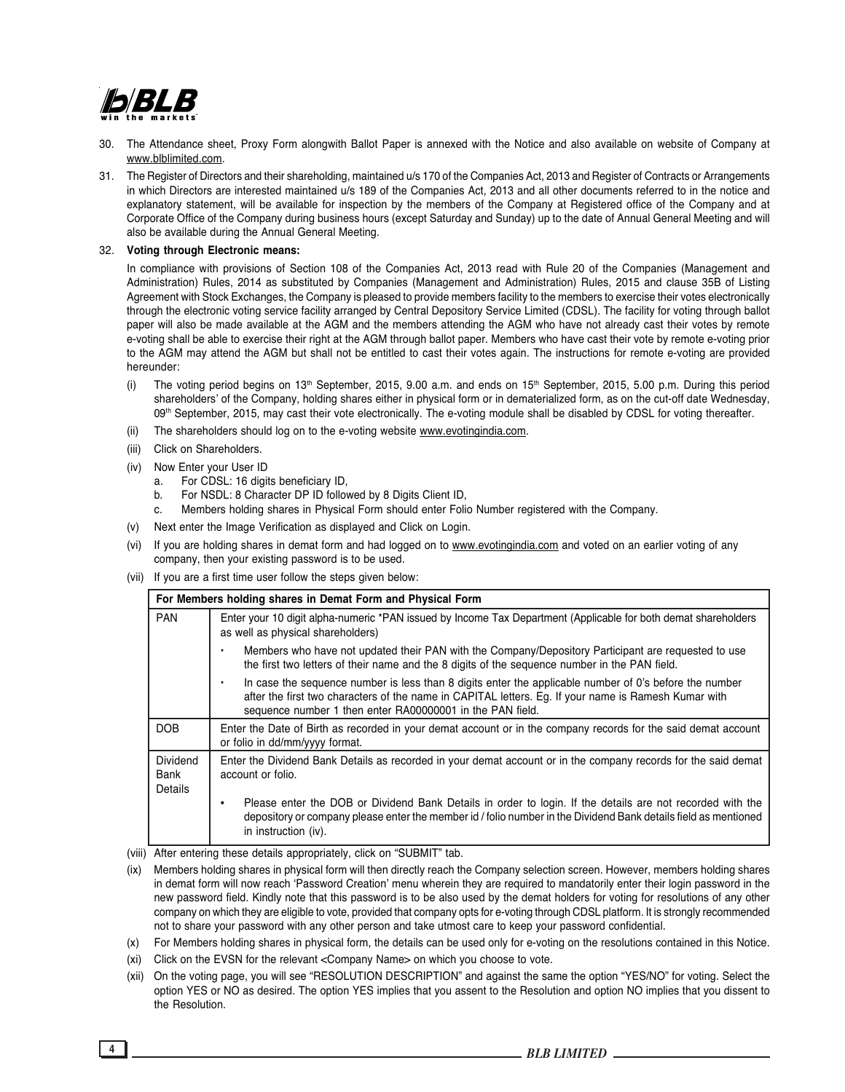

- 30. The Attendance sheet, Proxy Form alongwith Ballot Paper is annexed with the Notice and also available on website of Company at www.blblimited.com.
- 31. The Register of Directors and their shareholding, maintained u/s 170 of the Companies Act, 2013 and Register of Contracts or Arrangements in which Directors are interested maintained u/s 189 of the Companies Act, 2013 and all other documents referred to in the notice and explanatory statement, will be available for inspection by the members of the Company at Registered office of the Company and at Corporate Office of the Company during business hours (except Saturday and Sunday) up to the date of Annual General Meeting and will also be available during the Annual General Meeting.

#### 32. **Voting through Electronic means:**

In compliance with provisions of Section 108 of the Companies Act, 2013 read with Rule 20 of the Companies (Management and Administration) Rules, 2014 as substituted by Companies (Management and Administration) Rules, 2015 and clause 35B of Listing Agreement with Stock Exchanges, the Company is pleased to provide members facility to the members to exercise their votes electronically through the electronic voting service facility arranged by Central Depository Service Limited (CDSL). The facility for voting through ballot paper will also be made available at the AGM and the members attending the AGM who have not already cast their votes by remote e-voting shall be able to exercise their right at the AGM through ballot paper. Members who have cast their vote by remote e-voting prior to the AGM may attend the AGM but shall not be entitled to cast their votes again. The instructions for remote e-voting are provided hereunder:

- (i) The voting period begins on  $13<sup>th</sup>$  September, 2015, 9.00 a.m. and ends on  $15<sup>th</sup>$  September, 2015, 5.00 p.m. During this period shareholders' of the Company, holding shares either in physical form or in dematerialized form, as on the cut-off date Wednesday, 09th September, 2015, may cast their vote electronically. The e-voting module shall be disabled by CDSL for voting thereafter.
- (ii) The shareholders should log on to the e-voting website www.evotingindia.com.
- (iii) Click on Shareholders.
- (iv) Now Enter your User ID
	- a. For CDSL: 16 digits beneficiary ID,
	- b. For NSDL: 8 Character DP ID followed by 8 Digits Client ID,
	- Members holding shares in Physical Form should enter Folio Number registered with the Company.
- (v) Next enter the Image Verification as displayed and Click on Login.
- (vi) If you are holding shares in demat form and had logged on to www.evotingindia.com and voted on an earlier voting of any company, then your existing password is to be used.
- (vii) If you are a first time user follow the steps given below:

|                                    | For Members holding shares in Demat Form and Physical Form                                                                                                                                                                                                                  |  |  |  |  |  |  |
|------------------------------------|-----------------------------------------------------------------------------------------------------------------------------------------------------------------------------------------------------------------------------------------------------------------------------|--|--|--|--|--|--|
| <b>PAN</b>                         | Enter your 10 digit alpha-numeric *PAN issued by Income Tax Department (Applicable for both demat shareholders<br>as well as physical shareholders)                                                                                                                         |  |  |  |  |  |  |
|                                    | Members who have not updated their PAN with the Company/Depository Participant are requested to use<br>the first two letters of their name and the 8 digits of the sequence number in the PAN field.                                                                        |  |  |  |  |  |  |
|                                    | In case the sequence number is less than 8 digits enter the applicable number of 0's before the number<br>after the first two characters of the name in CAPITAL letters. Eg. If your name is Ramesh Kumar with<br>sequence number 1 then enter RA00000001 in the PAN field. |  |  |  |  |  |  |
| <b>DOB</b>                         | Enter the Date of Birth as recorded in your demat account or in the company records for the said demat account<br>or folio in dd/mm/yyyy format.                                                                                                                            |  |  |  |  |  |  |
| Dividend<br>Bank<br><b>Details</b> | Enter the Dividend Bank Details as recorded in your demat account or in the company records for the said demat<br>account or folio.                                                                                                                                         |  |  |  |  |  |  |
|                                    | Please enter the DOB or Dividend Bank Details in order to login. If the details are not recorded with the<br>depository or company please enter the member id / folio number in the Dividend Bank details field as mentioned<br>in instruction (iv).                        |  |  |  |  |  |  |

- (viii) After entering these details appropriately, click on "SUBMIT" tab.
- (ix) Members holding shares in physical form will then directly reach the Company selection screen. However, members holding shares in demat form will now reach 'Password Creation' menu wherein they are required to mandatorily enter their login password in the new password field. Kindly note that this password is to be also used by the demat holders for voting for resolutions of any other company on which they are eligible to vote, provided that company opts for e-voting through CDSL platform. It is strongly recommended not to share your password with any other person and take utmost care to keep your password confidential.
- (x) For Members holding shares in physical form, the details can be used only for e-voting on the resolutions contained in this Notice.
- (xi) Click on the EVSN for the relevant <Company Name> on which you choose to vote.
- (xii) On the voting page, you will see "RESOLUTION DESCRIPTION" and against the same the option "YES/NO" for voting. Select the option YES or NO as desired. The option YES implies that you assent to the Resolution and option NO implies that you dissent to the Resolution.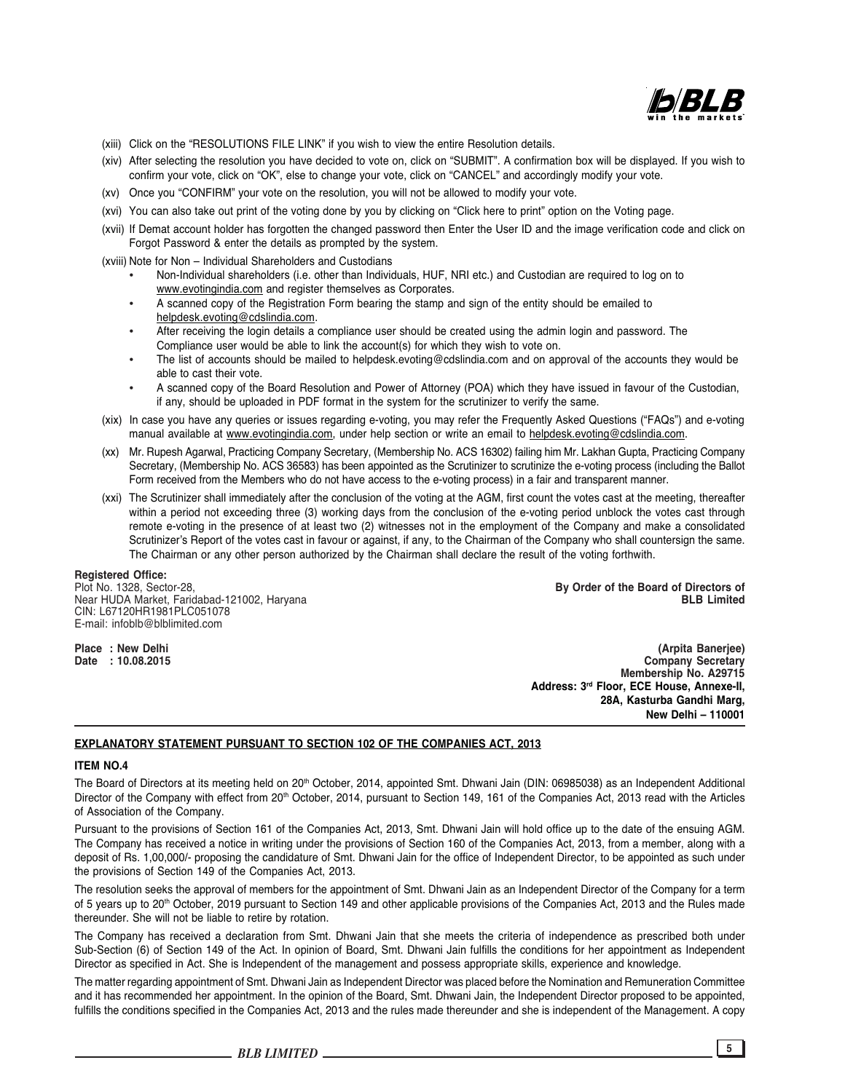

(xiii) Click on the "RESOLUTIONS FILE LINK" if you wish to view the entire Resolution details.

- (xiv) After selecting the resolution you have decided to vote on, click on "SUBMIT". A confirmation box will be displayed. If you wish to confirm your vote, click on "OK", else to change your vote, click on "CANCEL" and accordingly modify your vote.
- (xv) Once you "CONFIRM" your vote on the resolution, you will not be allowed to modify your vote.
- (xvi) You can also take out print of the voting done by you by clicking on "Click here to print" option on the Voting page.
- (xvii) If Demat account holder has forgotten the changed password then Enter the User ID and the image verification code and click on Forgot Password & enter the details as prompted by the system.

(xviii) Note for Non – Individual Shareholders and Custodians

- Non-Individual shareholders (i.e. other than Individuals, HUF, NRI etc.) and Custodian are required to log on to www.evotingindia.com and register themselves as Corporates.
- A scanned copy of the Registration Form bearing the stamp and sign of the entity should be emailed to helpdesk.evoting@cdslindia.com.
- After receiving the login details a compliance user should be created using the admin login and password. The Compliance user would be able to link the account(s) for which they wish to vote on.
- The list of accounts should be mailed to helpdesk.evoting@cdslindia.com and on approval of the accounts they would be able to cast their vote.
- A scanned copy of the Board Resolution and Power of Attorney (POA) which they have issued in favour of the Custodian, if any, should be uploaded in PDF format in the system for the scrutinizer to verify the same.
- (xix) In case you have any queries or issues regarding e-voting, you may refer the Frequently Asked Questions ("FAQs") and e-voting manual available at www.evotingindia.com, under help section or write an email to helpdesk.evoting@cdslindia.com.
- (xx) Mr. Rupesh Agarwal, Practicing Company Secretary, (Membership No. ACS 16302) failing him Mr. Lakhan Gupta, Practicing Company Secretary, (Membership No. ACS 36583) has been appointed as the Scrutinizer to scrutinize the e-voting process (including the Ballot Form received from the Members who do not have access to the e-voting process) in a fair and transparent manner.
- (xxi) The Scrutinizer shall immediately after the conclusion of the voting at the AGM, first count the votes cast at the meeting, thereafter within a period not exceeding three (3) working days from the conclusion of the e-voting period unblock the votes cast through remote e-voting in the presence of at least two (2) witnesses not in the employment of the Company and make a consolidated Scrutinizer's Report of the votes cast in favour or against, if any, to the Chairman of the Company who shall countersign the same. The Chairman or any other person authorized by the Chairman shall declare the result of the voting forthwith.

**Registered Office:** Near HUDA Market, Faridabad-121002, Haryana CIN: L67120HR1981PLC051078 E-mail: infoblb@blblimited.com

Plot No. 1328, Sector-28, **By Order of the Board of Directors of**

**Place : New Delhi (Arpita Banerjee) Company Secretary Membership No. A29715 Address: 3rd Floor, ECE House, Annexe-II, 28A, Kasturba Gandhi Marg, New Delhi – 110001**

### **EXPLANATORY STATEMENT PURSUANT TO SECTION 102 OF THE COMPANIES ACT, 2013**

#### **ITEM NO.4**

The Board of Directors at its meeting held on 20<sup>th</sup> October, 2014, appointed Smt. Dhwani Jain (DIN: 06985038) as an Independent Additional Director of the Company with effect from 20<sup>th</sup> October, 2014, pursuant to Section 149, 161 of the Companies Act, 2013 read with the Articles of Association of the Company.

Pursuant to the provisions of Section 161 of the Companies Act, 2013, Smt. Dhwani Jain will hold office up to the date of the ensuing AGM. The Company has received a notice in writing under the provisions of Section 160 of the Companies Act, 2013, from a member, along with a deposit of Rs. 1,00,000/- proposing the candidature of Smt. Dhwani Jain for the office of Independent Director, to be appointed as such under the provisions of Section 149 of the Companies Act, 2013.

The resolution seeks the approval of members for the appointment of Smt. Dhwani Jain as an Independent Director of the Company for a term of 5 years up to 20<sup>th</sup> October, 2019 pursuant to Section 149 and other applicable provisions of the Companies Act, 2013 and the Rules made thereunder. She will not be liable to retire by rotation.

The Company has received a declaration from Smt. Dhwani Jain that she meets the criteria of independence as prescribed both under Sub-Section (6) of Section 149 of the Act. In opinion of Board, Smt. Dhwani Jain fulfills the conditions for her appointment as Independent Director as specified in Act. She is Independent of the management and possess appropriate skills, experience and knowledge.

The matter regarding appointment of Smt. Dhwani Jain as Independent Director was placed before the Nomination and Remuneration Committee and it has recommended her appointment. In the opinion of the Board, Smt. Dhwani Jain, the Independent Director proposed to be appointed, fulfills the conditions specified in the Companies Act, 2013 and the rules made thereunder and she is independent of the Management. A copy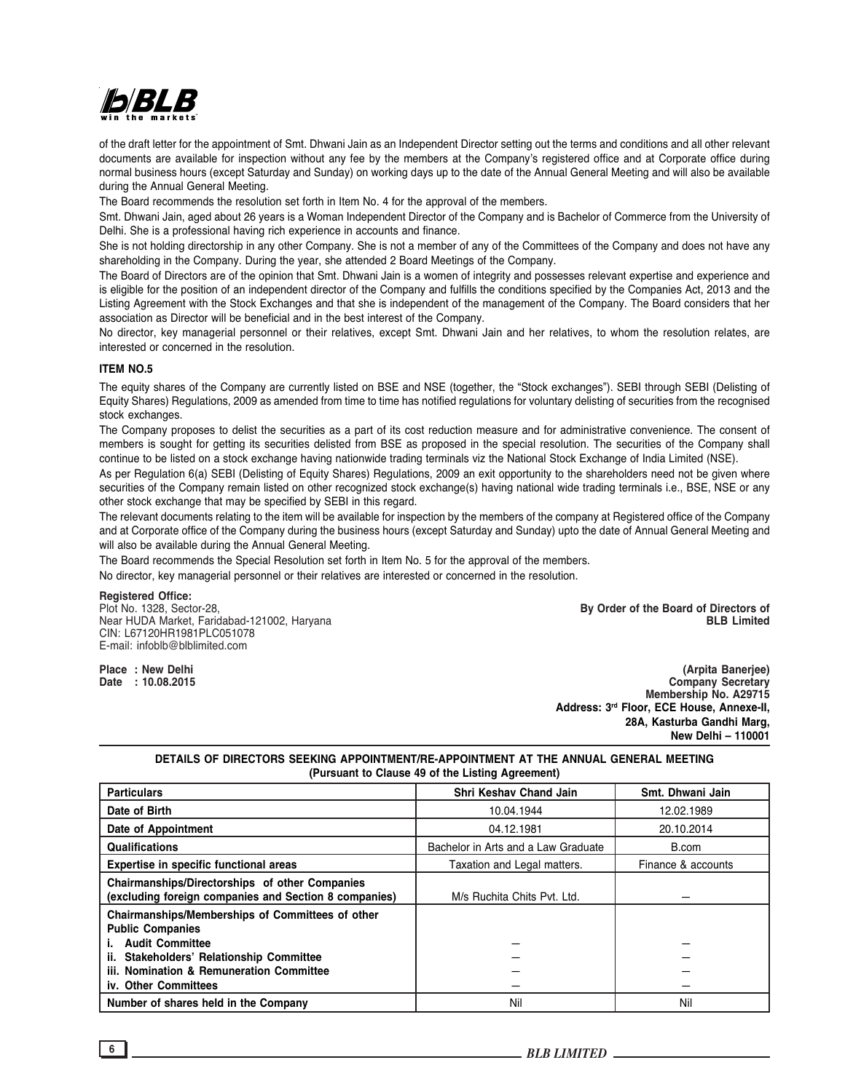

of the draft letter for the appointment of Smt. Dhwani Jain as an Independent Director setting out the terms and conditions and all other relevant documents are available for inspection without any fee by the members at the Company's registered office and at Corporate office during normal business hours (except Saturday and Sunday) on working days up to the date of the Annual General Meeting and will also be available during the Annual General Meeting.

The Board recommends the resolution set forth in Item No. 4 for the approval of the members.

Smt. Dhwani Jain, aged about 26 years is a Woman Independent Director of the Company and is Bachelor of Commerce from the University of Delhi. She is a professional having rich experience in accounts and finance.

She is not holding directorship in any other Company. She is not a member of any of the Committees of the Company and does not have any shareholding in the Company. During the year, she attended 2 Board Meetings of the Company.

The Board of Directors are of the opinion that Smt. Dhwani Jain is a women of integrity and possesses relevant expertise and experience and is eligible for the position of an independent director of the Company and fulfills the conditions specified by the Companies Act, 2013 and the Listing Agreement with the Stock Exchanges and that she is independent of the management of the Company. The Board considers that her association as Director will be beneficial and in the best interest of the Company.

No director, key managerial personnel or their relatives, except Smt. Dhwani Jain and her relatives, to whom the resolution relates, are interested or concerned in the resolution.

#### **ITEM NO.5**

The equity shares of the Company are currently listed on BSE and NSE (together, the "Stock exchanges"). SEBI through SEBI (Delisting of Equity Shares) Regulations, 2009 as amended from time to time has notified regulations for voluntary delisting of securities from the recognised stock exchanges.

The Company proposes to delist the securities as a part of its cost reduction measure and for administrative convenience. The consent of members is sought for getting its securities delisted from BSE as proposed in the special resolution. The securities of the Company shall continue to be listed on a stock exchange having nationwide trading terminals viz the National Stock Exchange of India Limited (NSE).

As per Regulation 6(a) SEBI (Delisting of Equity Shares) Regulations, 2009 an exit opportunity to the shareholders need not be given where securities of the Company remain listed on other recognized stock exchange(s) having national wide trading terminals i.e., BSE, NSE or any other stock exchange that may be specified by SEBI in this regard.

The relevant documents relating to the item will be available for inspection by the members of the company at Registered office of the Company and at Corporate office of the Company during the business hours (except Saturday and Sunday) upto the date of Annual General Meeting and will also be available during the Annual General Meeting.

The Board recommends the Special Resolution set forth in Item No. 5 for the approval of the members.

No director, key managerial personnel or their relatives are interested or concerned in the resolution.

# **Registered Office:**

Near HUDA Market, Faridabad-121002, Haryana CIN: L67120HR1981PLC051078 E-mail: infoblb@blblimited.com

Plot No. 1328, Sector-28, **By Order of the Board of Directors of**

**Place : New Delhi (Arpita Banerjee) Company Secretary Membership No. A29715 Address: 3rd Floor, ECE House, Annexe-II, 28A, Kasturba Gandhi Marg, New Delhi – 110001**

## **DETAILS OF DIRECTORS SEEKING APPOINTMENT/RE-APPOINTMENT AT THE ANNUAL GENERAL MEETING (Pursuant to Clause 49 of the Listing Agreement)**

| <b>Particulars</b>                                                                                           | <b>Shri Keshav Chand Jain</b>       | Smt. Dhwani Jain   |
|--------------------------------------------------------------------------------------------------------------|-------------------------------------|--------------------|
| Date of Birth                                                                                                | 10.04.1944                          | 12.02.1989         |
| Date of Appointment                                                                                          | 04.12.1981                          | 20.10.2014         |
| Qualifications                                                                                               | Bachelor in Arts and a Law Graduate | B.com              |
| Expertise in specific functional areas                                                                       | Taxation and Legal matters.         | Finance & accounts |
| Chairmanships/Directorships of other Companies<br>(excluding foreign companies and Section 8 companies)      | M/s Ruchita Chits Pvt. Ltd.         |                    |
| Chairmanships/Memberships of Committees of other<br><b>Public Companies</b>                                  |                                     |                    |
| <b>Audit Committee</b>                                                                                       |                                     |                    |
| ii. Stakeholders' Relationship Committee<br>iii. Nomination & Remuneration Committee<br>iv. Other Committees |                                     |                    |
| Number of shares held in the Company                                                                         | Nil                                 | Nil                |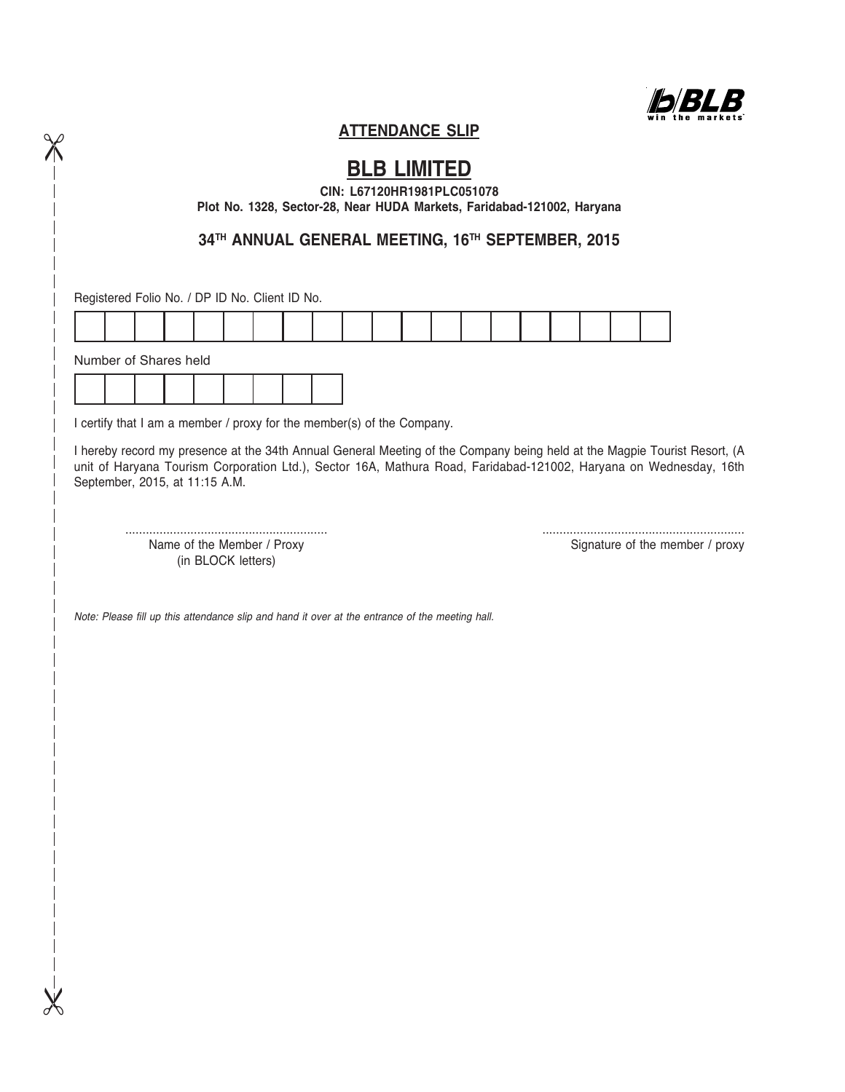

## **ATTENDANCE SLIP**

# **BLB LIMITED**

**CIN: L67120HR1981PLC051078**

**Plot No. 1328, Sector-28, Near HUDA Markets, Faridabad-121002, Haryana**

**34TH ANNUAL GENERAL MEETING, 16TH SEPTEMBER, 2015**

Registered Folio No. / DP ID No. Client ID No.

| Alemaker of Okense keld |  |  |  |  |  |  |  |  |  |  |
|-------------------------|--|--|--|--|--|--|--|--|--|--|

Number of Shares held Ť

 $\chi$ 

 $\chi$ 

I certify that I am a member / proxy for the member(s) of the Company.

I hereby record my presence at the 34th Annual General Meeting of the Company being held at the Magpie Tourist Resort, (A unit of Haryana Tourism Corporation Ltd.), Sector 16A, Mathura Road, Faridabad-121002, Haryana on Wednesday, 16th September, 2015, at 11:15 A.M.

Name of the Member / Proxy extending the Member / proxy Signature of the member / proxy (in BLOCK letters)

........................................................... ...........................................................

*Note: Please fill up this attendance slip and hand it over at the entrance of the meeting hall.*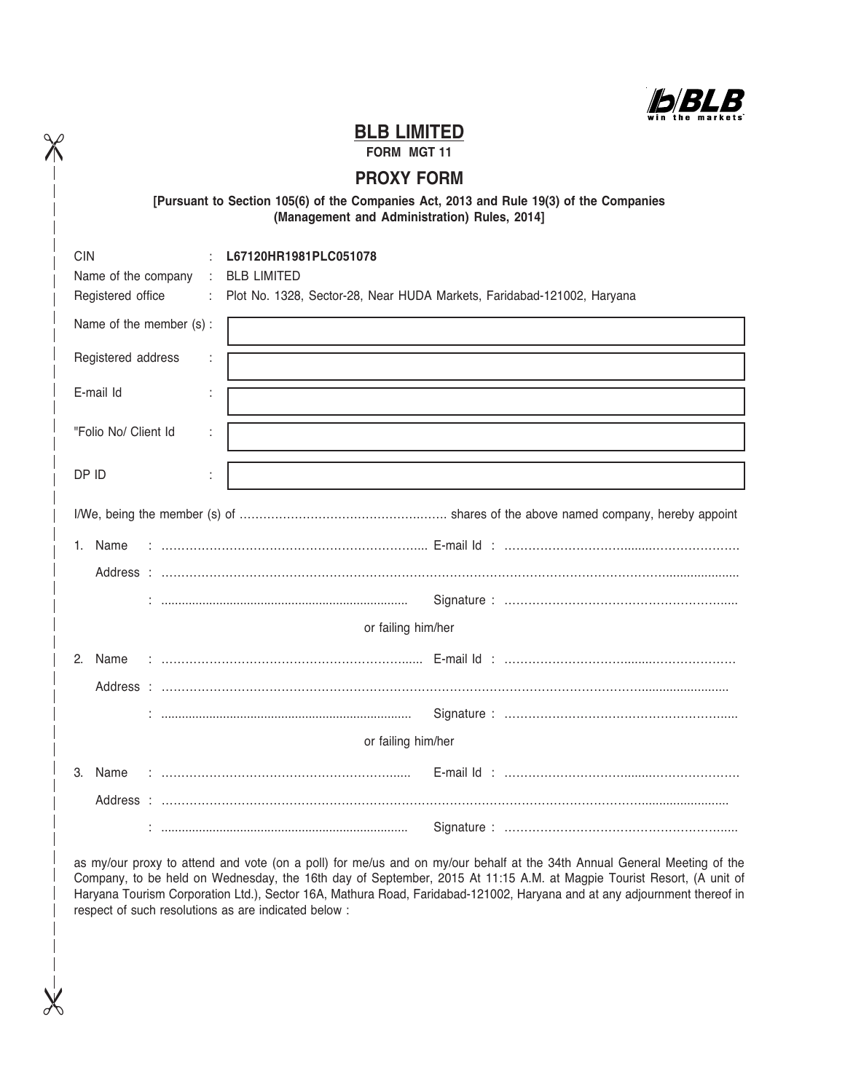Ib B B

## **BLB LIMITED**

**FORM MGT 11**

 $\chi$ 

 $\chi$ 

## **PROXY FORM**

## **[Pursuant to Section 105(6) of the Companies Act, 2013 and Rule 19(3) of the Companies (Management and Administration) Rules, 2014]**

| <b>CIN</b>               | L67120HR1981PLC051078                                                  |  |  |  |  |  |
|--------------------------|------------------------------------------------------------------------|--|--|--|--|--|
| Name of the company<br>÷ | <b>BLB LIMITED</b>                                                     |  |  |  |  |  |
| Registered office<br>÷.  | Plot No. 1328, Sector-28, Near HUDA Markets, Faridabad-121002, Haryana |  |  |  |  |  |
| Name of the member (s):  |                                                                        |  |  |  |  |  |
| Registered address<br>÷  |                                                                        |  |  |  |  |  |
| E-mail Id                |                                                                        |  |  |  |  |  |
| "Folio No/ Client Id     |                                                                        |  |  |  |  |  |
| DP ID                    |                                                                        |  |  |  |  |  |
|                          |                                                                        |  |  |  |  |  |
|                          |                                                                        |  |  |  |  |  |
| 1. Name                  |                                                                        |  |  |  |  |  |
|                          |                                                                        |  |  |  |  |  |
|                          |                                                                        |  |  |  |  |  |
|                          | or failing him/her                                                     |  |  |  |  |  |
| $2^{\circ}$<br>Name      |                                                                        |  |  |  |  |  |
|                          |                                                                        |  |  |  |  |  |
|                          |                                                                        |  |  |  |  |  |
|                          | or failing him/her                                                     |  |  |  |  |  |
| 3.<br>Name               |                                                                        |  |  |  |  |  |
|                          |                                                                        |  |  |  |  |  |
|                          |                                                                        |  |  |  |  |  |

as my/our proxy to attend and vote (on a poll) for me/us and on my/our behalf at the 34th Annual General Meeting of the Company, to be held on Wednesday, the 16th day of September, 2015 At 11:15 A.M. at Magpie Tourist Resort, (A unit of Haryana Tourism Corporation Ltd.), Sector 16A, Mathura Road, Faridabad-121002, Haryana and at any adjournment thereof in respect of such resolutions as are indicated below :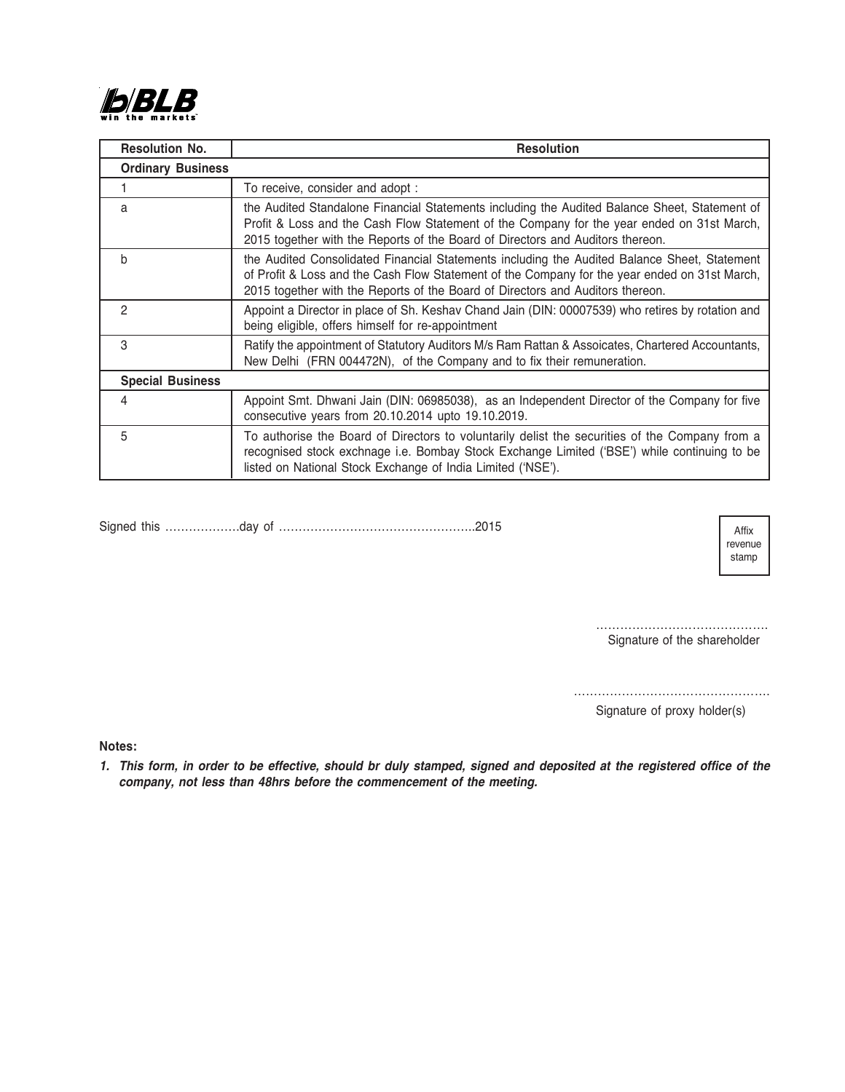

| <b>Resolution No.</b>    | <b>Resolution</b>                                                                                                                                                                                                                                                               |
|--------------------------|---------------------------------------------------------------------------------------------------------------------------------------------------------------------------------------------------------------------------------------------------------------------------------|
| <b>Ordinary Business</b> |                                                                                                                                                                                                                                                                                 |
|                          | To receive, consider and adopt:                                                                                                                                                                                                                                                 |
| a                        | the Audited Standalone Financial Statements including the Audited Balance Sheet, Statement of<br>Profit & Loss and the Cash Flow Statement of the Company for the year ended on 31st March,<br>2015 together with the Reports of the Board of Directors and Auditors thereon.   |
| b                        | the Audited Consolidated Financial Statements including the Audited Balance Sheet, Statement<br>of Profit & Loss and the Cash Flow Statement of the Company for the year ended on 31st March,<br>2015 together with the Reports of the Board of Directors and Auditors thereon. |
| $\mathcal{P}$            | Appoint a Director in place of Sh. Keshav Chand Jain (DIN: 00007539) who retires by rotation and<br>being eligible, offers himself for re-appointment                                                                                                                           |
| 3                        | Ratify the appointment of Statutory Auditors M/s Ram Rattan & Assoicates, Chartered Accountants,<br>New Delhi (FRN 004472N), of the Company and to fix their remuneration.                                                                                                      |
| <b>Special Business</b>  |                                                                                                                                                                                                                                                                                 |
| 4                        | Appoint Smt. Dhwani Jain (DIN: 06985038), as an Independent Director of the Company for five<br>consecutive years from 20.10.2014 upto 19.10.2019.                                                                                                                              |
| 5                        | To authorise the Board of Directors to voluntarily delist the securities of the Company from a<br>recognised stock exchnage i.e. Bombay Stock Exchange Limited ('BSE') while continuing to be<br>listed on National Stock Exchange of India Limited ('NSE').                    |

Signed this ……………….day of …………………………………………..2015

Affix revenue stamp

……………………………………… Signature of the shareholder

………………………………………….

Signature of proxy holder(s)

**Notes:**

*1. This form, in order to be effective, should br duly stamped, signed and deposited at the registered office of the company, not less than 48hrs before the commencement of the meeting.*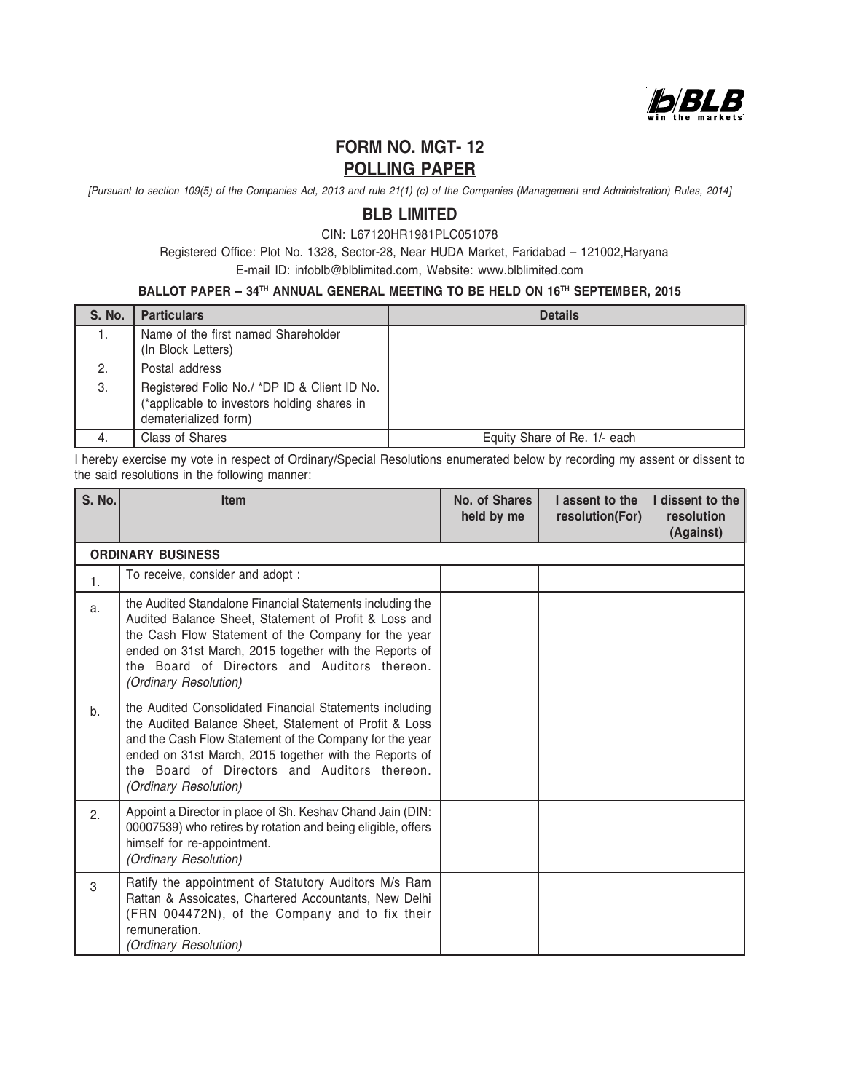

# **FORM NO. MGT- 12 POLLING PAPER**

*[Pursuant to section 109(5) of the Companies Act, 2013 and rule 21(1) (c) of the Companies (Management and Administration) Rules, 2014]*

## **BLB LIMITED**

CIN: L67120HR1981PLC051078

 Registered Office: Plot No. 1328, Sector-28, Near HUDA Market, Faridabad – 121002,Haryana E-mail ID: infoblb@blblimited.com, Website: www.blblimited.com

## **BALLOT PAPER – 34TH ANNUAL GENERAL MEETING TO BE HELD ON 16TH SEPTEMBER, 2015**

| S. No. | <b>Particulars</b>                                                                                                  | <b>Details</b>               |
|--------|---------------------------------------------------------------------------------------------------------------------|------------------------------|
| 1.     | Name of the first named Shareholder<br>(In Block Letters)                                                           |                              |
| 2.     | Postal address                                                                                                      |                              |
| 3.     | Registered Folio No./ *DP ID & Client ID No.<br>(*applicable to investors holding shares in<br>dematerialized form) |                              |
| -4.    | Class of Shares                                                                                                     | Equity Share of Re. 1/- each |

I hereby exercise my vote in respect of Ordinary/Special Resolutions enumerated below by recording my assent or dissent to the said resolutions in the following manner:

| <b>S. No.</b> | <b>Item</b>                                                                                                                                                                                                                                                                                                    | No. of Shares<br>held by me | I assent to the<br>resolution(For) | I dissent to the<br>resolution<br>(Against) |
|---------------|----------------------------------------------------------------------------------------------------------------------------------------------------------------------------------------------------------------------------------------------------------------------------------------------------------------|-----------------------------|------------------------------------|---------------------------------------------|
|               | <b>ORDINARY BUSINESS</b>                                                                                                                                                                                                                                                                                       |                             |                                    |                                             |
| 1.            | To receive, consider and adopt :                                                                                                                                                                                                                                                                               |                             |                                    |                                             |
| a.            | the Audited Standalone Financial Statements including the<br>Audited Balance Sheet, Statement of Profit & Loss and<br>the Cash Flow Statement of the Company for the year<br>ended on 31st March, 2015 together with the Reports of<br>the Board of Directors and Auditors thereon.<br>(Ordinary Resolution)   |                             |                                    |                                             |
| b.            | the Audited Consolidated Financial Statements including<br>the Audited Balance Sheet, Statement of Profit & Loss<br>and the Cash Flow Statement of the Company for the year<br>ended on 31st March, 2015 together with the Reports of<br>the Board of Directors and Auditors thereon.<br>(Ordinary Resolution) |                             |                                    |                                             |
| 2.            | Appoint a Director in place of Sh. Keshav Chand Jain (DIN:<br>00007539) who retires by rotation and being eligible, offers<br>himself for re-appointment.<br>(Ordinary Resolution)                                                                                                                             |                             |                                    |                                             |
| 3             | Ratify the appointment of Statutory Auditors M/s Ram<br>Rattan & Assoicates, Chartered Accountants, New Delhi<br>(FRN 004472N), of the Company and to fix their<br>remuneration.<br>(Ordinary Resolution)                                                                                                      |                             |                                    |                                             |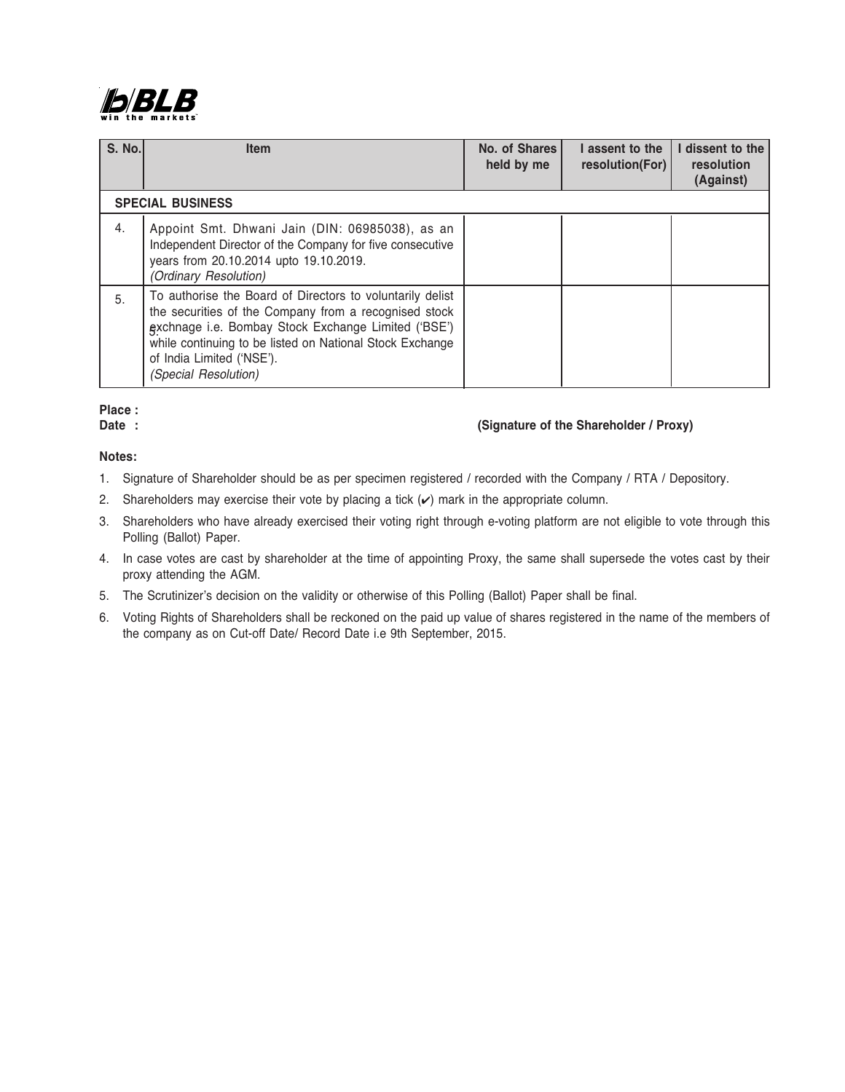

| <b>S. No.</b> | <b>Item</b>                                                                                                                                                                                                                                                                                | No. of Shares<br>held by me | I assent to the<br>resolution(For) | I dissent to the<br>resolution<br>(Against) |
|---------------|--------------------------------------------------------------------------------------------------------------------------------------------------------------------------------------------------------------------------------------------------------------------------------------------|-----------------------------|------------------------------------|---------------------------------------------|
|               | <b>SPECIAL BUSINESS</b>                                                                                                                                                                                                                                                                    |                             |                                    |                                             |
| 4.            | Appoint Smt. Dhwani Jain (DIN: 06985038), as an<br>Independent Director of the Company for five consecutive<br>years from 20.10.2014 upto 19.10.2019.<br>(Ordinary Resolution)                                                                                                             |                             |                                    |                                             |
| 5.            | To authorise the Board of Directors to voluntarily delist<br>the securities of the Company from a recognised stock<br>gxchnage i.e. Bombay Stock Exchange Limited ('BSE')<br>while continuing to be listed on National Stock Exchange<br>of India Limited ('NSE').<br>(Special Resolution) |                             |                                    |                                             |

# **Place :**

## Date : (Signature of the Shareholder / Proxy)

## **Notes:**

- 1. Signature of Shareholder should be as per specimen registered / recorded with the Company / RTA / Depository.
- 2. Shareholders may exercise their vote by placing a tick  $(v)$  mark in the appropriate column.
- 3. Shareholders who have already exercised their voting right through e-voting platform are not eligible to vote through this Polling (Ballot) Paper.
- 4. In case votes are cast by shareholder at the time of appointing Proxy, the same shall supersede the votes cast by their proxy attending the AGM.
- 5. The Scrutinizer's decision on the validity or otherwise of this Polling (Ballot) Paper shall be final.
- 6. Voting Rights of Shareholders shall be reckoned on the paid up value of shares registered in the name of the members of the company as on Cut-off Date/ Record Date i.e 9th September, 2015.